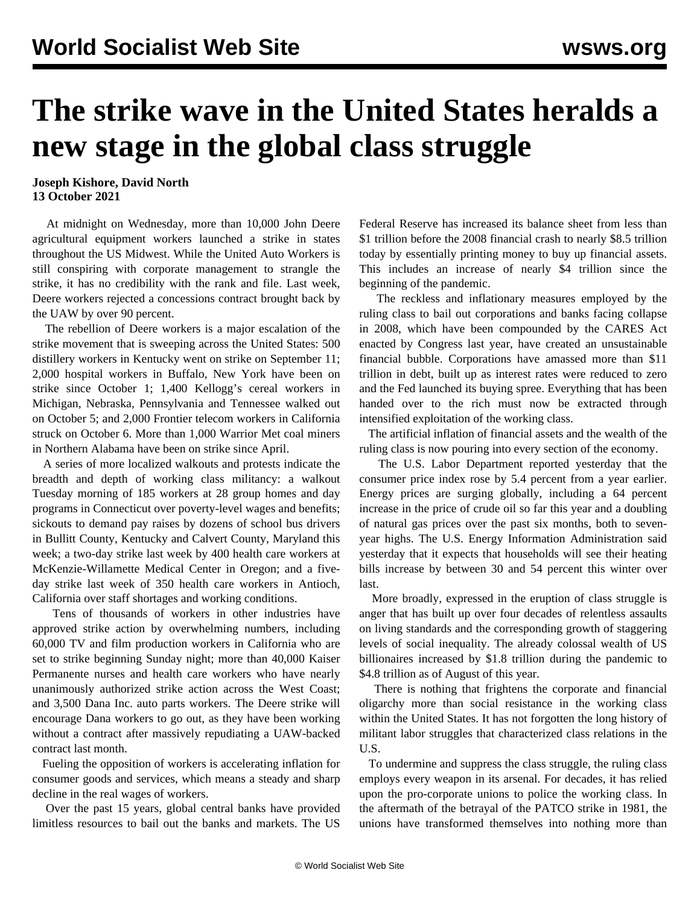## **The strike wave in the United States heralds a new stage in the global class struggle**

## **Joseph Kishore, David North 13 October 2021**

 At midnight on Wednesday, more than 10,000 John Deere agricultural equipment workers launched a strike in states throughout the US Midwest. While the United Auto Workers is still conspiring with corporate management to strangle the strike, it has no credibility with the rank and file. Last week, Deere workers rejected a concessions contract brought back by the UAW by over 90 percent.

 The rebellion of Deere workers is a major escalation of the strike movement that is sweeping across the United States: 500 distillery workers in Kentucky went on strike on September 11; 2,000 hospital workers in Buffalo, New York have been on strike since October 1; 1,400 Kellogg's cereal workers in Michigan, Nebraska, Pennsylvania and Tennessee walked out on October 5; and 2,000 Frontier telecom workers in California struck on October 6. More than 1,000 Warrior Met coal miners in Northern Alabama have been on strike since April.

 A series of more localized walkouts and protests indicate the breadth and depth of working class militancy: a walkout Tuesday morning of 185 workers at 28 group homes and day programs in Connecticut over poverty-level wages and benefits; sickouts to demand pay raises by dozens of school bus drivers in Bullitt County, Kentucky and Calvert County, Maryland this week; a two-day strike last week by 400 health care workers at McKenzie-Willamette Medical Center in Oregon; and a fiveday strike last week of 350 health care workers in Antioch, California over staff shortages and working conditions.

 Tens of thousands of workers in other industries have approved strike action by overwhelming numbers, including 60,000 TV and film production workers in California who are set to strike beginning Sunday night; more than 40,000 Kaiser Permanente nurses and health care workers who have nearly unanimously authorized strike action across the West Coast; and 3,500 Dana Inc. auto parts workers. The Deere strike will encourage Dana workers to go out, as they have been working without a contract after massively repudiating a UAW-backed contract last month.

 Fueling the opposition of workers is accelerating inflation for consumer goods and services, which means a steady and sharp decline in the real wages of workers.

 Over the past 15 years, global central banks have provided limitless resources to bail out the banks and markets. The US Federal Reserve has increased its balance sheet from less than \$1 trillion before the 2008 financial crash to nearly \$8.5 trillion today by essentially printing money to buy up financial assets. This includes an increase of nearly \$4 trillion since the beginning of the pandemic.

 The reckless and inflationary measures employed by the ruling class to bail out corporations and banks facing collapse in 2008, which have been compounded by the CARES Act enacted by Congress last year, have created an unsustainable financial bubble. Corporations have amassed more than \$11 trillion in debt, built up as interest rates were reduced to zero and the Fed launched its buying spree. Everything that has been handed over to the rich must now be extracted through intensified exploitation of the working class.

 The artificial inflation of financial assets and the wealth of the ruling class is now pouring into every section of the economy.

 The U.S. Labor Department reported yesterday that the consumer price index rose by 5.4 percent from a year earlier. Energy prices are surging globally, including a 64 percent increase in the price of crude oil so far this year and a doubling of natural gas prices over the past six months, both to sevenyear highs. The U.S. Energy Information Administration said yesterday that it expects that households will see their heating bills increase by between 30 and 54 percent this winter over last.

 More broadly, expressed in the eruption of class struggle is anger that has built up over four decades of relentless assaults on living standards and the corresponding growth of staggering levels of social inequality. The already colossal wealth of US billionaires increased by \$1.8 trillion during the pandemic to \$4.8 trillion as of August of this year.

 There is nothing that frightens the corporate and financial oligarchy more than social resistance in the working class within the United States. It has not forgotten the long history of militant labor struggles that characterized class relations in the U.S.

 To undermine and suppress the class struggle, the ruling class employs every weapon in its arsenal. For decades, it has relied upon the pro-corporate unions to police the working class. In the aftermath of the betrayal of the PATCO strike in 1981, the unions have transformed themselves into nothing more than